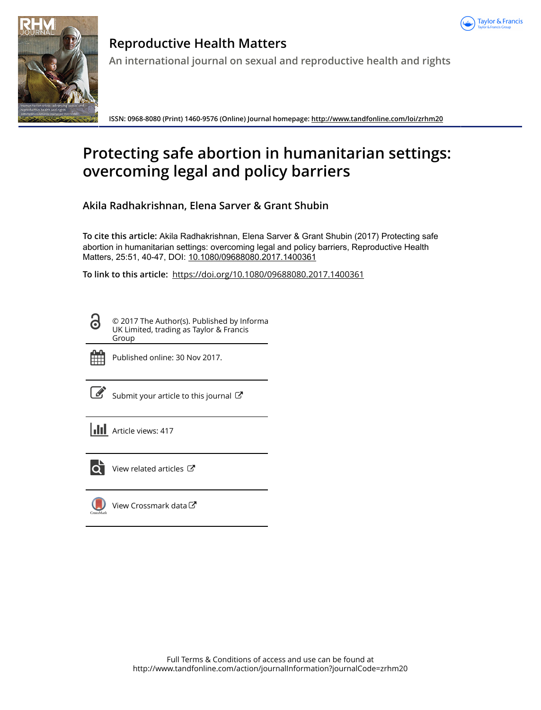



**Reproductive Health Matters An international journal on sexual and reproductive health and rights**

**ISSN: 0968-8080 (Print) 1460-9576 (Online) Journal homepage:<http://www.tandfonline.com/loi/zrhm20>**

# **Protecting safe abortion in humanitarian settings: overcoming legal and policy barriers**

**Akila Radhakrishnan, Elena Sarver & Grant Shubin**

**To cite this article:** Akila Radhakrishnan, Elena Sarver & Grant Shubin (2017) Protecting safe abortion in humanitarian settings: overcoming legal and policy barriers, Reproductive Health Matters, 25:51, 40-47, DOI: [10.1080/09688080.2017.1400361](http://www.tandfonline.com/action/showCitFormats?doi=10.1080/09688080.2017.1400361)

**To link to this article:** <https://doi.org/10.1080/09688080.2017.1400361>

© 2017 The Author(s). Published by Informa UK Limited, trading as Taylor & Francis Group



<u>ය</u>

Published online: 30 Nov 2017.

[Submit your article to this journal](http://www.tandfonline.com/action/authorSubmission?journalCode=zrhm20&show=instructions)  $\mathbb{Z}$ 

**III** Article views: 417



 $\overline{Q}$  [View related articles](http://www.tandfonline.com/doi/mlt/10.1080/09688080.2017.1400361)  $\overline{C}$ 

[View Crossmark data](http://crossmark.crossref.org/dialog/?doi=10.1080/09688080.2017.1400361&domain=pdf&date_stamp=2017-11-30) $\mathbb{Z}$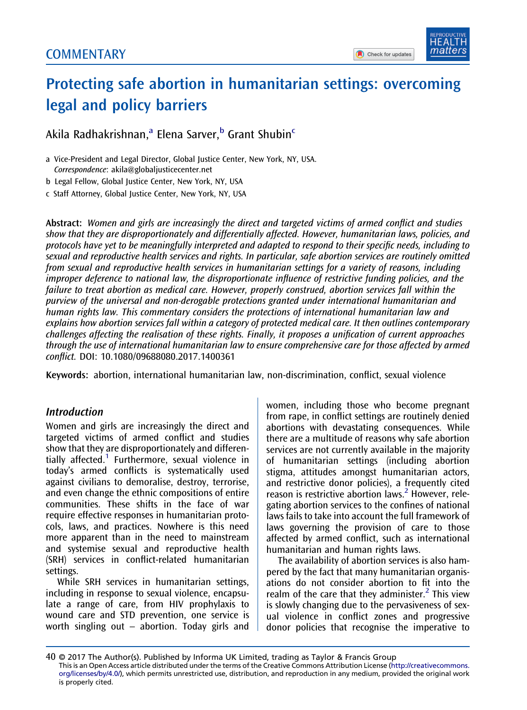

# <span id="page-1-0"></span>Protecting safe abortion in humanitarian settings: overcoming legal and policy barriers

Akila Radhakrishnan.<sup>a</sup> Elena Sarver, <sup>b</sup> Grant Shubin<sup>c</sup>

a Vice-President and Legal Director, Global Justice Center, New York, NY, USA. Correspondence: [akila@globaljusticecenter.net](mailto:akila@globaljusticecenter.net)

b Legal Fellow, Global Justice Center, New York, NY, USA

c Staff Attorney, Global Justice Center, New York, NY, USA

Abstract: Women and girls are increasingly the direct and targeted victims of armed conflict and studies show that they are disproportionately and differentially affected. However, humanitarian laws, policies, and protocols have yet to be meaningfully interpreted and adapted to respond to their specific needs, including to sexual and reproductive health services and rights. In particular, safe abortion services are routinely omitted from sexual and reproductive health services in humanitarian settings for a variety of reasons, including improper deference to national law, the disproportionate influence of restrictive funding policies, and the failure to treat abortion as medical care. However, properly construed, abortion services fall within the purview of the universal and non-derogable protections granted under international humanitarian and human rights law. This commentary considers the protections of international humanitarian law and explains how abortion services fall within a category of protected medical care. It then outlines contemporary challenges affecting the realisation of these rights. Finally, it proposes a unification of current approaches through the use of international humanitarian law to ensure comprehensive care for those affected by armed conflict. DOI: 10.1080/09688080.2017.1400361

Keywords: abortion, international humanitarian law, non-discrimination, conflict, sexual violence

## Introduction

Women and girls are increasingly the direct and targeted victims of armed conflict and studies show that they are disproportionately and differen-tially affected.<sup>[1](#page-6-0)</sup> Furthermore, sexual violence in today's armed conflicts is systematically used against civilians to demoralise, destroy, terrorise, and even change the ethnic compositions of entire communities. These shifts in the face of war require effective responses in humanitarian protocols, laws, and practices. Nowhere is this need more apparent than in the need to mainstream and systemise sexual and reproductive health (SRH) services in conflict-related humanitarian settings.

While SRH services in humanitarian settings, including in response to sexual violence, encapsulate a range of care, from HIV prophylaxis to wound care and STD prevention, one service is worth singling out – abortion. Today girls and women, including those who become pregnant from rape, in conflict settings are routinely denied abortions with devastating consequences. While there are a multitude of reasons why safe abortion services are not currently available in the majority of humanitarian settings (including abortion stigma, attitudes amongst humanitarian actors, and restrictive donor policies), a frequently cited reason is restrictive abortion laws.<sup>[2](#page-6-0)</sup> However, relegating abortion services to the confines of national laws fails to take into account the full framework of laws governing the provision of care to those affected by armed conflict, such as international humanitarian and human rights laws.

The availability of abortion services is also hampered by the fact that many humanitarian organisations do not consider abortion to fit into the realm of the care that they administer. $<sup>2</sup>$  This view</sup> is slowly changing due to the pervasiveness of sexual violence in conflict zones and progressive donor policies that recognise the imperative to

<sup>40</sup> © 2017 The Author(s). Published by Informa UK Limited, trading as Taylor & Francis Group This is an Open Access article distributed under the terms of the Creative Commons Attribution License [\(http://creativecommons.](http://creativecommons.org/licenses/by/4.0/) [org/licenses/by/4.0/\)](http://creativecommons.org/licenses/by/4.0/), which permits unrestricted use, distribution, and reproduction in any medium, provided the original work is properly cited.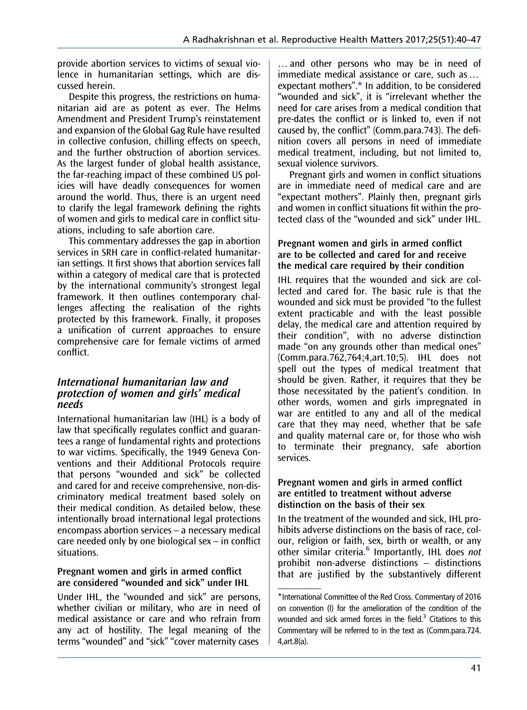provide abortion services to victims of sexual violence in humanitarian settings, which are discussed herein.

Despite this progress, the restrictions on humanitarian aid are as potent as ever. The Helms Amendment and President Trump's reinstatement and expansion of the Global Gag Rule have resulted in collective confusion, chilling effects on speech, and the further obstruction of abortion services. As the largest funder of global health assistance, the far-reaching impact of these combined US policies will have deadly consequences for women around the world. Thus, there is an urgent need to clarify the legal framework defining the rights of women and girls to medical care in conflict situations, including to safe abortion care.

This commentary addresses the gap in abortion services in SRH care in conflict-related humanitarian settings. It first shows that abortion services fall within a category of medical care that is protected by the international community's strongest legal framework. It then outlines contemporary challenges affecting the realisation of the rights protected by this framework. Finally, it proposes a unification of current approaches to ensure comprehensive care for female victims of armed conflict.

## International humanitarian law and protection of women and girls' medical needs

International humanitarian law (IHL) is a body of law that specifically regulates conflict and guarantees a range of fundamental rights and protections to war victims. Specifically, the 1949 Geneva Conventions and their Additional Protocols require that persons "wounded and sick" be collected and cared for and receive comprehensive, non-discriminatory medical treatment based solely on their medical condition. As detailed below, these intentionally broad international legal protections encompass abortion services – a necessary medical care needed only by one biological sex – in conflict situations.

#### Pregnant women and girls in armed conflict are considered "wounded and sick" under IHL

Under IHL, the "wounded and sick" are persons, whether civilian or military, who are in need of medical assistance or care and who refrain from any act of hostility. The legal meaning of the terms "wounded" and "sick" "cover maternity cases

… and other persons who may be in need of immediate medical assistance or care, such as … expectant mothers".\* In addition, to be considered "wounded and sick", it is "irrelevant whether the need for care arises from a medical condition that pre-dates the conflict or is linked to, even if not caused by, the conflict" (Comm.para.743). The definition covers all persons in need of immediate medical treatment, including, but not limited to, sexual violence survivors.

Pregnant girls and women in conflict situations are in immediate need of medical care and are "expectant mothers". Plainly then, pregnant girls and women in conflict situations fit within the protected class of the "wounded and sick" under IHL.

## Pregnant women and girls in armed conflict are to be collected and cared for and receive the medical care required by their condition

IHL requires that the wounded and sick are collected and cared for. The basic rule is that the wounded and sick must be provided "to the fullest extent practicable and with the least possible delay, the medical care and attention required by their condition", with no adverse distinction made "on any grounds other than medical ones" (Comm.para.762,764;4,art.10;5). IHL does not spell out the types of medical treatment that should be given. Rather, it requires that they be those necessitated by the patient's condition. In other words, women and girls impregnated in war are entitled to any and all of the medical care that they may need, whether that be safe and quality maternal care or, for those who wish to terminate their pregnancy, safe abortion services.

#### Pregnant women and girls in armed conflict are entitled to treatment without adverse distinction on the basis of their sex

In the treatment of the wounded and sick, IHL prohibits adverse distinctions on the basis of race, colour, religion or faith, sex, birth or wealth, or any other similar criteria.<sup>[6](#page-6-0)</sup> Importantly, IHL does not prohibit non-adverse distinctions – distinctions that are justified by the substantively different

<sup>\*</sup>International Committee of the Red Cross. Commentary of 2016 on convention (I) for the amelioration of the condition of the wounded and sick armed forces in the field.<sup>[3](#page-6-0)</sup> Citations to this Commentary will be referred to in the text as (Comm.para.724. 4,art.8(a).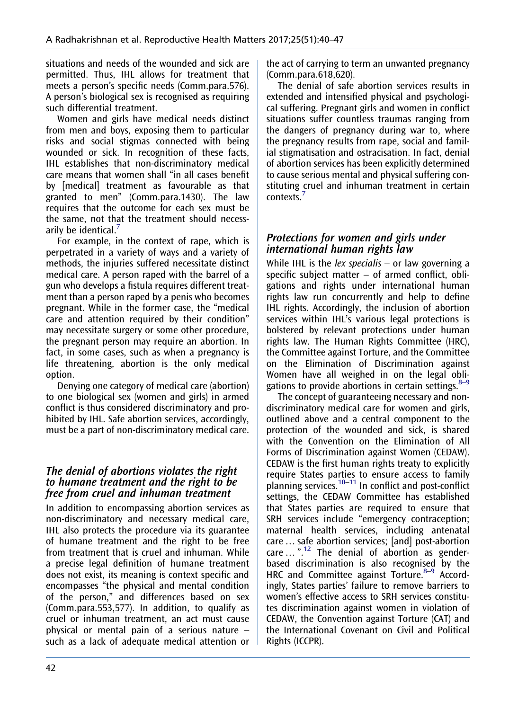<span id="page-3-0"></span>situations and needs of the wounded and sick are permitted. Thus, IHL allows for treatment that meets a person's specific needs (Comm.para.576). A person's biological sex is recognised as requiring such differential treatment.

Women and girls have medical needs distinct from men and boys, exposing them to particular risks and social stigmas connected with being wounded or sick. In recognition of these facts, IHL establishes that non-discriminatory medical care means that women shall "in all cases benefit by [medical] treatment as favourable as that granted to men" (Comm.para.1430). The law requires that the outcome for each sex must be the same, not that the treatment should necess-arily be identical.<sup>[7](#page-6-0)</sup>

For example, in the context of rape, which is perpetrated in a variety of ways and a variety of methods, the injuries suffered necessitate distinct medical care. A person raped with the barrel of a gun who develops a fistula requires different treatment than a person raped by a penis who becomes pregnant. While in the former case, the "medical care and attention required by their condition" may necessitate surgery or some other procedure, the pregnant person may require an abortion. In fact, in some cases, such as when a pregnancy is life threatening, abortion is the only medical option.

Denying one category of medical care (abortion) to one biological sex (women and girls) in armed conflict is thus considered discriminatory and prohibited by IHL. Safe abortion services, accordingly, must be a part of non-discriminatory medical care.

## The denial of abortions violates the right to humane treatment and the right to be free from cruel and inhuman treatment

In addition to encompassing abortion services as non-discriminatory and necessary medical care, IHL also protects the procedure via its guarantee of humane treatment and the right to be free from treatment that is cruel and inhuman. While a precise legal definition of humane treatment does not exist, its meaning is context specific and encompasses "the physical and mental condition of the person," and differences based on sex (Comm.para.553,577). In addition, to qualify as cruel or inhuman treatment, an act must cause physical or mental pain of a serious nature – such as a lack of adequate medical attention or the act of carrying to term an unwanted pregnancy (Comm.para.618,620).

The denial of safe abortion services results in extended and intensified physical and psychological suffering. Pregnant girls and women in conflict situations suffer countless traumas ranging from the dangers of pregnancy during war to, where the pregnancy results from rape, social and familial stigmatisation and ostracisation. In fact, denial of abortion services has been explicitly determined to cause serious mental and physical suffering constituting cruel and inhuman treatment in certain contexts.[7](#page-6-0)

## Protections for women and girls under international human rights law

While IHL is the *lex specialis*  $-$  or law governing a specific subject matter  $-$  of armed conflict, obligations and rights under international human rights law run concurrently and help to define IHL rights. Accordingly, the inclusion of abortion services within IHL's various legal protections is bolstered by relevant protections under human rights law. The Human Rights Committee (HRC), the Committee against Torture, and the Committee on the Elimination of Discrimination against Women have all weighed in on the legal obligations to provide abortions in certain settings. $8-9$ 

The concept of guaranteeing necessary and nondiscriminatory medical care for women and girls, outlined above and a central component to the protection of the wounded and sick, is shared with the Convention on the Elimination of All Forms of Discrimination against Women (CEDAW). CEDAW is the first human rights treaty to explicitly require States parties to ensure access to family planning services.[10](#page-7-0)–[11](#page-7-0) In conflict and post-conflict settings, the CEDAW Committee has established that States parties are required to ensure that SRH services include "emergency contraception; maternal health services, including antenatal care … safe abortion services; [and] post-abortion care ... ".<sup>[12](#page-7-0)</sup> The denial of abortion as genderbased discrimination is also recognised by the HRC and Committee against Torture.<sup>[8](#page-7-0)–[9](#page-7-0)</sup> Accordingly, States parties' failure to remove barriers to women's effective access to SRH services constitutes discrimination against women in violation of CEDAW, the Convention against Torture (CAT) and the International Covenant on Civil and Political Rights (ICCPR).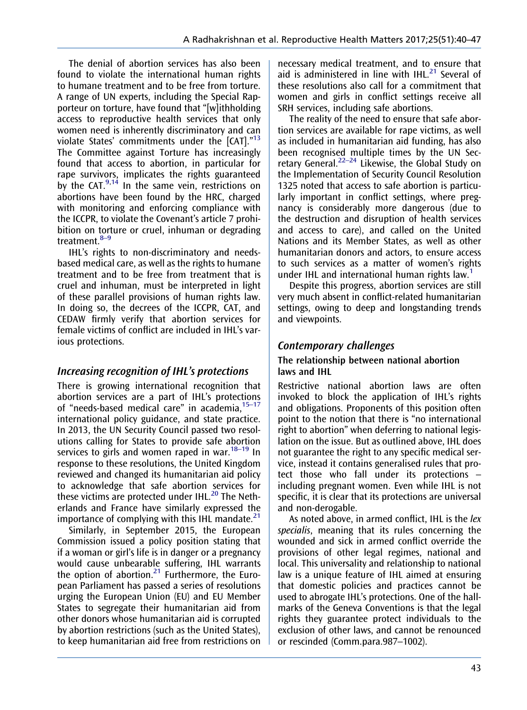<span id="page-4-0"></span>The denial of abortion services has also been found to violate the international human rights to humane treatment and to be free from torture. A range of UN experts, including the Special Rapporteur on torture, have found that "[w]ithholding access to reproductive health services that only women need is inherently discriminatory and can violate States' commitments under the [CAT]."[13](#page-7-0) The Committee against Torture has increasingly found that access to abortion, in particular for rape survivors, implicates the rights guaranteed by the CAT.<sup>[9,14](#page-7-0)</sup> In the same vein, restrictions on abortions have been found by the HRC, charged with monitoring and enforcing compliance with the ICCPR, to violate the Covenant's article 7 prohibition on torture or cruel, inhuman or degrading treatment.<sup>8–9</sup>

IHL's rights to non-discriminatory and needsbased medical care, as well as the rights to humane treatment and to be free from treatment that is cruel and inhuman, must be interpreted in light of these parallel provisions of human rights law. In doing so, the decrees of the ICCPR, CAT, and CEDAW firmly verify that abortion services for female victims of conflict are included in IHL's various protections.

# Increasing recognition of IHL's protections

There is growing international recognition that abortion services are a part of IHL's protections of "needs-based medical care" in academia, $15-17$ international policy guidance, and state practice. In 2013, the UN Security Council passed two resolutions calling for States to provide safe abortion services to girls and women raped in war.<sup>18–19</sup> In response to these resolutions, the United Kingdom reviewed and changed its humanitarian aid policy to acknowledge that safe abortion services for these victims are protected under  $IHL$ <sup>[20](#page-7-0)</sup> The Netherlands and France have similarly expressed the importance of complying with this IHL mandate. $^{21}$  $^{21}$  $^{21}$ 

Similarly, in September 2015, the European Commission issued a policy position stating that if a woman or girl's life is in danger or a pregnancy would cause unbearable suffering, IHL warrants the option of abortion.<sup>[21](#page-7-0)</sup> Furthermore, the European Parliament has passed a series of resolutions urging the European Union (EU) and EU Member States to segregate their humanitarian aid from other donors whose humanitarian aid is corrupted by abortion restrictions (such as the United States), to keep humanitarian aid free from restrictions on necessary medical treatment, and to ensure that aid is administered in line with IHL. $^{21}$  $^{21}$  $^{21}$  Several of these resolutions also call for a commitment that women and girls in conflict settings receive all SRH services, including safe abortions.

The reality of the need to ensure that safe abortion services are available for rape victims, as well as included in humanitarian aid funding, has also been recognised multiple times by the UN Secretary General.22–<sup>24</sup> Likewise, the Global Study on the Implementation of Security Council Resolution 1325 noted that access to safe abortion is particularly important in conflict settings, where pregnancy is considerably more dangerous (due to the destruction and disruption of health services and access to care), and called on the United Nations and its Member States, as well as other humanitarian donors and actors, to ensure access to such services as a matter of women's rights under IHL and international human rights law.<sup>[1](#page-6-0)</sup>

Despite this progress, abortion services are still very much absent in conflict-related humanitarian settings, owing to deep and longstanding trends and viewpoints.

# Contemporary challenges

## The relationship between national abortion laws and IHL

Restrictive national abortion laws are often invoked to block the application of IHL's rights and obligations. Proponents of this position often point to the notion that there is "no international right to abortion" when deferring to national legislation on the issue. But as outlined above, IHL does not guarantee the right to any specific medical service, instead it contains generalised rules that protect those who fall under its protections – including pregnant women. Even while IHL is not specific, it is clear that its protections are universal and non-derogable.

As noted above, in armed conflict, IHL is the lex specialis, meaning that its rules concerning the wounded and sick in armed conflict override the provisions of other legal regimes, national and local. This universality and relationship to national law is a unique feature of IHL aimed at ensuring that domestic policies and practices cannot be used to abrogate IHL's protections. One of the hallmarks of the Geneva Conventions is that the legal rights they guarantee protect individuals to the exclusion of other laws, and cannot be renounced or rescinded (Comm.para.987–1002).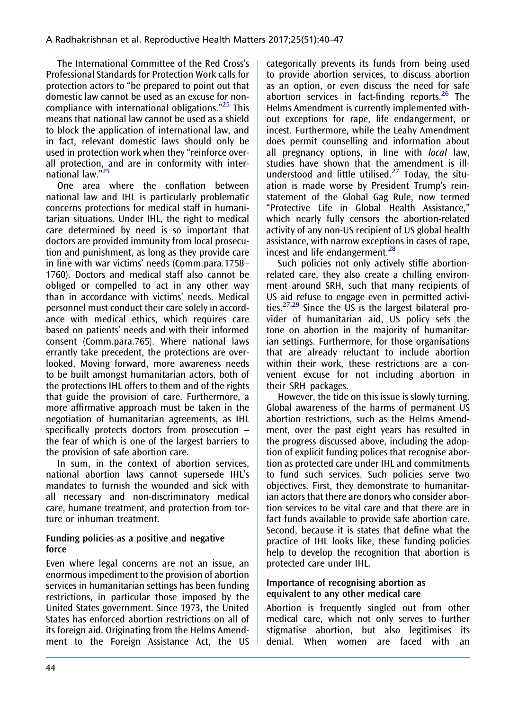<span id="page-5-0"></span>The International Committee of the Red Cross's Professional Standards for Protection Work calls for protection actors to "be prepared to point out that domestic law cannot be used as an excuse for non-compliance with international obligations."<sup>[25](#page-7-0)</sup> This means that national law cannot be used as a shield to block the application of international law, and in fact, relevant domestic laws should only be used in protection work when they "reinforce overall protection, and are in conformity with inter-national law."[25](#page-7-0)

One area where the conflation between national law and IHL is particularly problematic concerns protections for medical staff in humanitarian situations. Under IHL, the right to medical care determined by need is so important that doctors are provided immunity from local prosecution and punishment, as long as they provide care in line with war victims' needs (Comm.para.1758– 1760). Doctors and medical staff also cannot be obliged or compelled to act in any other way than in accordance with victims' needs. Medical personnel must conduct their care solely in accordance with medical ethics, which requires care based on patients' needs and with their informed consent (Comm.para.765). Where national laws errantly take precedent, the protections are overlooked. Moving forward, more awareness needs to be built amongst humanitarian actors, both of the protections IHL offers to them and of the rights that guide the provision of care. Furthermore, a more affirmative approach must be taken in the negotiation of humanitarian agreements, as IHL specifically protects doctors from prosecution – the fear of which is one of the largest barriers to the provision of safe abortion care.

In sum, in the context of abortion services, national abortion laws cannot supersede IHL's mandates to furnish the wounded and sick with all necessary and non-discriminatory medical care, humane treatment, and protection from torture or inhuman treatment.

## Funding policies as a positive and negative force

Even where legal concerns are not an issue, an enormous impediment to the provision of abortion services in humanitarian settings has been funding restrictions, in particular those imposed by the United States government. Since 1973, the United States has enforced abortion restrictions on all of its foreign aid. Originating from the Helms Amendment to the Foreign Assistance Act, the US

categorically prevents its funds from being used to provide abortion services, to discuss abortion as an option, or even discuss the need for safe abortion services in fact-finding reports. $26$  The Helms Amendment is currently implemented without exceptions for rape, life endangerment, or incest. Furthermore, while the Leahy Amendment does permit counselling and information about all pregnancy options, in line with local law, studies have shown that the amendment is ill-understood and little utilised.<sup>[27](#page-7-0)</sup> Today, the situation is made worse by President Trump's reinstatement of the Global Gag Rule, now termed "Protective Life in Global Health Assistance," which nearly fully censors the abortion-related activity of any non-US recipient of US global health assistance, with narrow exceptions in cases of rape, incest and life endangerment.<sup>[28](#page-7-0)</sup>

Such policies not only actively stifle abortionrelated care, they also create a chilling environment around SRH, such that many recipients of US aid refuse to engage even in permitted activities. $27,29$  Since the US is the largest bilateral provider of humanitarian aid, US policy sets the tone on abortion in the majority of humanitarian settings. Furthermore, for those organisations that are already reluctant to include abortion within their work, these restrictions are a convenient excuse for not including abortion in their SRH packages.

However, the tide on this issue is slowly turning. Global awareness of the harms of permanent US abortion restrictions, such as the Helms Amendment, over the past eight years has resulted in the progress discussed above, including the adoption of explicit funding polices that recognise abortion as protected care under IHL and commitments to fund such services. Such policies serve two objectives. First, they demonstrate to humanitarian actors that there are donors who consider abortion services to be vital care and that there are in fact funds available to provide safe abortion care. Second, because it is states that define what the practice of IHL looks like, these funding policies help to develop the recognition that abortion is protected care under IHL.

## Importance of recognising abortion as equivalent to any other medical care

Abortion is frequently singled out from other medical care, which not only serves to further stigmatise abortion, but also legitimises its denial. When women are faced with an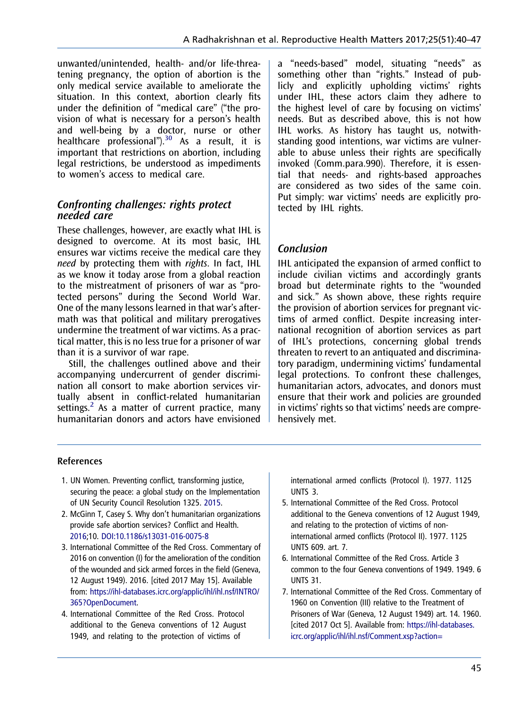<span id="page-6-0"></span>unwanted/unintended, health- and/or life-threatening pregnancy, the option of abortion is the only medical service available to ameliorate the situation. In this context, abortion clearly fits under the definition of "medical care" ("the provision of what is necessary for a person's health and well-being by a doctor, nurse or other healthcare professional"). $30$  As a result, it is important that restrictions on abortion, including legal restrictions, be understood as impediments to women's access to medical care.

# Confronting challenges: rights protect needed care

These challenges, however, are exactly what IHL is designed to overcome. At its most basic, IHL ensures war victims receive the medical care they need by protecting them with rights. In fact, IHL as we know it today arose from a global reaction to the mistreatment of prisoners of war as "protected persons" during the Second World War. One of the many lessons learned in that war's aftermath was that political and military prerogatives undermine the treatment of war victims. As a practical matter, this is no less true for a prisoner of war than it is a survivor of war rape.

Still, the challenges outlined above and their accompanying undercurrent of gender discrimination all consort to make abortion services virtually absent in conflict-related humanitarian settings. $<sup>2</sup>$  As a matter of current practice, many</sup> humanitarian donors and actors have envisioned a "needs-based" model, situating "needs" as something other than "rights." Instead of publicly and explicitly upholding victims' rights under IHL, these actors claim they adhere to the highest level of care by focusing on victims' needs. But as described above, this is not how IHL works. As history has taught us, notwithstanding good intentions, war victims are vulnerable to abuse unless their rights are specifically invoked (Comm.para.990). Therefore, it is essential that needs- and rights-based approaches are considered as two sides of the same coin. Put simply: war victims' needs are explicitly protected by IHL rights.

# Conclusion

IHL anticipated the expansion of armed conflict to include civilian victims and accordingly grants broad but determinate rights to the "wounded and sick." As shown above, these rights require the provision of abortion services for pregnant victims of armed conflict. Despite increasing international recognition of abortion services as part of IHL's protections, concerning global trends threaten to revert to an antiquated and discriminatory paradigm, undermining victims' fundamental legal protections. To confront these challenges, humanitarian actors, advocates, and donors must ensure that their work and policies are grounded in victims' rights so that victims' needs are comprehensively met.

## References

- 1. UN Women. Preventing conflict, transforming justice, securing the peace: a global study on the Implementation of UN Security Council Resolution 1325. [2015](#page-1-0).
- 2. McGinn T, Casey S. Why don't humanitarian organizations provide safe abortion services? Conflict and Health. [2016;](#page-1-0)10. [DOI:10.1186/s13031-016-0075-8](https://doi.org/DOI:10.1186/s13031-016-0075-8)
- 3. International Committee of the Red Cross. Commentary of 2016 on convention (I) for the amelioration of the condition of the wounded and sick armed forces in the field (Geneva, 12 August 1949). 2016. [cited 2017 May 15]. Available from: [https://ihl-databases.icrc.org/applic/ihl/ihl.nsf/INTRO/](https://ihl-databases.icrc.org/applic/ihl/ihl.nsf/INTRO/365?OpenDocument) [365?OpenDocument](https://ihl-databases.icrc.org/applic/ihl/ihl.nsf/INTRO/365?OpenDocument).
- 4. International Committee of the Red Cross. Protocol additional to the Geneva conventions of 12 August 1949, and relating to the protection of victims of

international armed conflicts (Protocol I). 1977. 1125 UNTS 3.

- 5. International Committee of the Red Cross. Protocol additional to the Geneva conventions of 12 August 1949, and relating to the protection of victims of noninternational armed conflicts (Protocol II). 1977. 1125 UNTS 609. art. 7.
- 6. International Committee of the Red Cross. Article 3 common to the four Geneva conventions of 1949. 1949. 6 UNTS 31.
- 7. International Committee of the Red Cross. Commentary of 1960 on Convention (III) relative to the Treatment of Prisoners of War (Geneva, 12 August 1949) art. 14. 1960. [cited 2017 Oct 5]. Available from: [https://ihl-databases.](https://ihl-databases.icrc.org/applic/ihl/ihl.nsf/Comment.xsp?action=openDocument&documentId=64864A7A2AB7E2F6C12563CD00425C7E) [icrc.org/applic/ihl/ihl.nsf/Comment.xsp?action=](https://ihl-databases.icrc.org/applic/ihl/ihl.nsf/Comment.xsp?action=openDocument&documentId=64864A7A2AB7E2F6C12563CD00425C7E)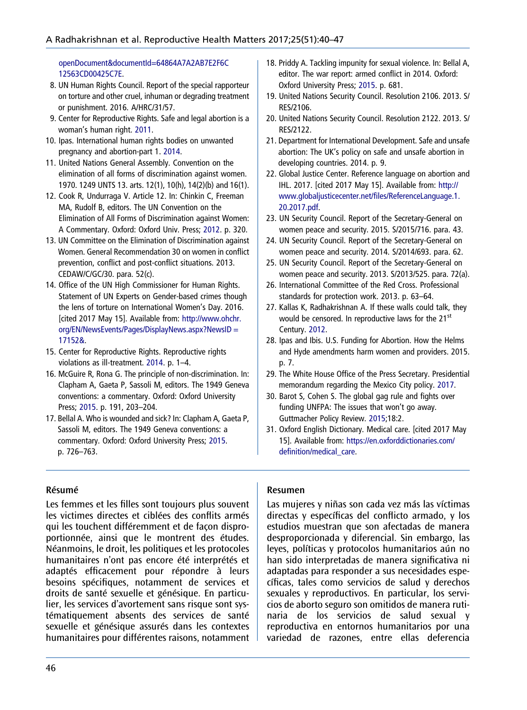<span id="page-7-0"></span>[openDocument&documentId=64864A7A2AB7E2F6C](https://ihl-databases.icrc.org/applic/ihl/ihl.nsf/Comment.xsp?action=openDocument&documentId=64864A7A2AB7E2F6C12563CD00425C7E) [12563CD00425C7E.](https://ihl-databases.icrc.org/applic/ihl/ihl.nsf/Comment.xsp?action=openDocument&documentId=64864A7A2AB7E2F6C12563CD00425C7E)

- 8. UN Human Rights Council. Report of the special rapporteur on torture and other cruel, inhuman or degrading treatment or punishment. 2016. A/HRC/31/57.
- 9. Center for Reproductive Rights. Safe and legal abortion is a woman's human right. [2011.](#page-3-0)
- 10. Ipas. International human rights bodies on unwanted pregnancy and abortion-part 1. [2014](#page-3-0).
- 11. United Nations General Assembly. Convention on the elimination of all forms of discrimination against women. 1970. 1249 UNTS 13. arts. 12(1), 10(h), 14(2)(b) and 16(1).
- 12. Cook R, Undurraga V. Article 12. In: Chinkin C, Freeman MA, Rudolf B, editors. The UN Convention on the Elimination of All Forms of Discrimination against Women: A Commentary. Oxford: Oxford Univ. Press; [2012.](#page-3-0) p. 320.
- 13. UN Committee on the Elimination of Discrimination against Women. General Recommendation 30 on women in conflict prevention, conflict and post-conflict situations. 2013. CEDAW/C/GC/30. para. 52(c).
- 14. Office of the UN High Commissioner for Human Rights. Statement of UN Experts on Gender-based crimes though the lens of torture on International Women's Day. 2016. [cited 2017 May 15]. Available from: [http://www.ohchr.](http://www.ohchr.org/EN/NewsEvents/Pages/DisplayNews.aspx?NewsID=17152&) [org/EN/NewsEvents/Pages/DisplayNews.aspx?NewsID =](http://www.ohchr.org/EN/NewsEvents/Pages/DisplayNews.aspx?NewsID=17152&) [17152&.](http://www.ohchr.org/EN/NewsEvents/Pages/DisplayNews.aspx?NewsID=17152&)
- 15. Center for Reproductive Rights. Reproductive rights violations as ill-treatment. [2014](#page-4-0). p. 1–4.
- 16. McGuire R, Rona G. The principle of non-discrimination. In: Clapham A, Gaeta P, Sassoli M, editors. The 1949 Geneva conventions: a commentary. Oxford: Oxford University Press; 2015. p. 191, 203–204.
- 17. Bellal A. Who is wounded and sick? In: Clapham A, Gaeta P, Sassoli M, editors. The 1949 Geneva conventions: a commentary. Oxford: Oxford University Press; 2015. p. 726–763.

## Résumé

Les femmes et les filles sont toujours plus souvent les victimes directes et ciblées des conflits armés qui les touchent différemment et de façon disproportionnée, ainsi que le montrent des études. Néanmoins, le droit, les politiques et les protocoles humanitaires n'ont pas encore été interprétés et adaptés efficacement pour répondre à leurs besoins spécifiques, notamment de services et droits de santé sexuelle et génésique. En particulier, les services d'avortement sans risque sont systématiquement absents des services de santé sexuelle et génésique assurés dans les contextes humanitaires pour différentes raisons, notamment

- 18. Priddy A. Tackling impunity for sexual violence. In: Bellal A, editor. The war report: armed conflict in 2014. Oxford: Oxford University Press; [2015](#page-4-0). p. 681.
- 19. United Nations Security Council. Resolution 2106. 2013. S/ RES/2106.
- 20. United Nations Security Council. Resolution 2122. 2013. S/ RES/2122.
- 21. Department for International Development. Safe and unsafe abortion: The UK's policy on safe and unsafe abortion in developing countries. 2014. p. 9.
- 22. Global Justice Center. Reference language on abortion and IHL. 2017. [cited 2017 May 15]. Available from: [http://](http://www.globaljusticecenter.net/files/ReferenceLanguage.1.20.2017.pdf) [www.globaljusticecenter.net/](http://www.globaljusticecenter.net/files/ReferenceLanguage.1.20.2017.pdf)files/ReferenceLanguage.1. [20.2017.pdf.](http://www.globaljusticecenter.net/files/ReferenceLanguage.1.20.2017.pdf)
- 23. UN Security Council. Report of the Secretary-General on women peace and security. 2015. S/2015/716. para. 43.
- 24. UN Security Council. Report of the Secretary-General on women peace and security. 2014. S/2014/693. para. 62.
- 25. UN Security Council. Report of the Secretary-General on women peace and security. 2013. S/2013/525. para. 72(a).
- 26. International Committee of the Red Cross. Professional standards for protection work. 2013. p. 63–64.
- 27. Kallas K, Radhakrishnan A. If these walls could talk, they would be censored. In reproductive laws for the 21<sup>st</sup> Century. [2012](#page-5-0).
- 28. Ipas and Ibis. U.S. Funding for Abortion. How the Helms and Hyde amendments harm women and providers. 2015. p. 7.
- 29. The White House Office of the Press Secretary. Presidential memorandum regarding the Mexico City policy. [2017](#page-5-0).
- 30. Barot S, Cohen S. The global gag rule and fights over funding UNFPA: The issues that won't go away. Guttmacher Policy Review. [2015;](#page-6-0)18:2.
- 31. Oxford English Dictionary. Medical care. [cited 2017 May 15]. Available from: [https://en.oxforddictionaries.com/](https://en.oxforddictionaries.com/definition/medical_care) defi[nition/medical\\_care](https://en.oxforddictionaries.com/definition/medical_care).

## Resumen

Las mujeres y niñas son cada vez más las víctimas directas y específicas del conflicto armado, y los estudios muestran que son afectadas de manera desproporcionada y diferencial. Sin embargo, las leyes, políticas y protocolos humanitarios aún no han sido interpretadas de manera significativa ni adaptadas para responder a sus necesidades específicas, tales como servicios de salud y derechos sexuales y reproductivos. En particular, los servicios de aborto seguro son omitidos de manera rutinaria de los servicios de salud sexual y reproductiva en entornos humanitarios por una variedad de razones, entre ellas deferencia